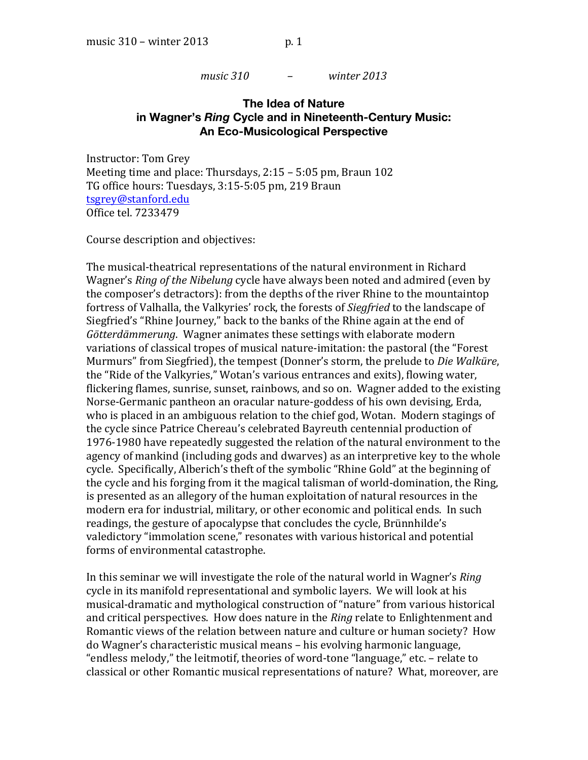*music* 310  $-$  *winter 2013* 

# **The Idea of Nature in Wagner's** *Ring* **Cycle and in Nineteenth-Century Music: An Eco-Musicological Perspective**

Instructor: Tom Grey Meeting time and place: Thursdays,  $2:15-5:05$  pm, Braun 102 TG office hours: Tuesdays, 3:15-5:05 pm, 219 Braun tsgrey@stanford.edu&& Office tel. 7233479

Course description and objectives:

The musical-theatrical representations of the natural environment in Richard Wagner's *Ring of the Nibelung* cycle have always been noted and admired (even by the composer's detractors): from the depths of the river Rhine to the mountaintop fortress of Valhalla, the Valkyries' rock, the forests of *Siegfried* to the landscape of Siegfried's "Rhine Journey," back to the banks of the Rhine again at the end of Götterdämmerung. Wagner animates these settings with elaborate modern variations of classical tropes of musical nature-imitation: the pastoral (the "Forest Murmurs" from Siegfried), the tempest (Donner's storm, the prelude to *Die Walküre*, the "Ride of the Valkyries," Wotan's various entrances and exits), flowing water, flickering flames, sunrise, sunset, rainbows, and so on. Wagner added to the existing Norse-Germanic pantheon an oracular nature-goddess of his own devising, Erda, who is placed in an ambiguous relation to the chief god, Wotan. Modern stagings of the cycle since Patrice Chereau's celebrated Bayreuth centennial production of 1976-1980 have repeatedly suggested the relation of the natural environment to the agency of mankind (including gods and dwarves) as an interpretive key to the whole cycle. Specifically, Alberich's theft of the symbolic "Rhine Gold" at the beginning of the cycle and his forging from it the magical talisman of world-domination, the Ring, is presented as an allegory of the human exploitation of natural resources in the modern era for industrial, military, or other economic and political ends. In such readings, the gesture of apocalypse that concludes the cycle, Brünnhilde's valedictory "immolation scene," resonates with various historical and potential forms of environmental catastrophe.

In this seminar we will investigate the role of the natural world in Wagner's *Ring* cycle in its manifold representational and symbolic layers. We will look at his musical-dramatic and mythological construction of "nature" from various historical and critical perspectives. How does nature in the *Ring* relate to Enlightenment and Romantic views of the relation between nature and culture or human society? How do Wagner's characteristic musical means – his evolving harmonic language, "endless melody," the leitmotif, theories of word-tone "language," etc. - relate to classical or other Romantic musical representations of nature? What, moreover, are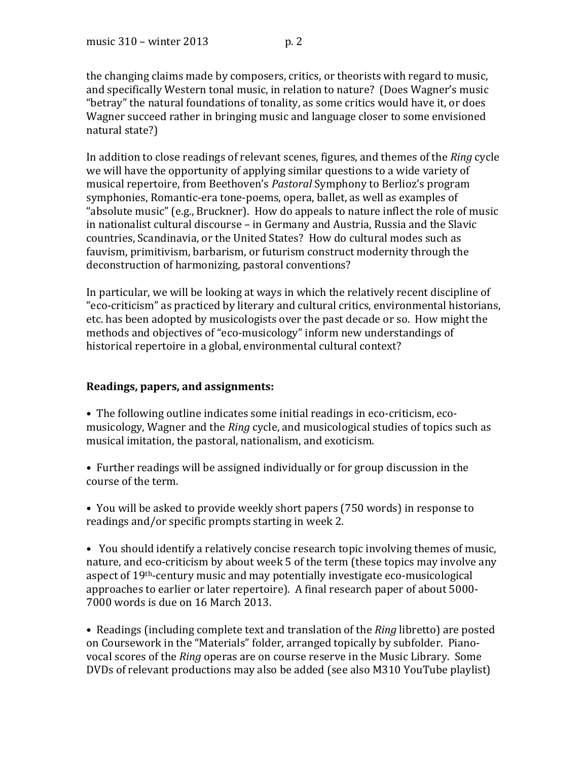the changing claims made by composers, critics, or theorists with regard to music, and specifically Western tonal music, in relation to nature? (Does Wagner's music "betray" the natural foundations of tonality, as some critics would have it, or does Wagner succeed rather in bringing music and language closer to some envisioned natural state?)

In addition to close readings of relevant scenes, figures, and themes of the *Ring* cycle we will have the opportunity of applying similar questions to a wide variety of musical repertoire, from Beethoven's *Pastoral* Symphony to Berlioz's program symphonies, Romantic-era tone-poems, opera, ballet, as well as examples of "absolute music" (e.g., Bruckner). How do appeals to nature inflect the role of music in nationalist cultural discourse – in Germany and Austria, Russia and the Slavic countries, Scandinavia, or the United States? How do cultural modes such as fauvism, primitivism, barbarism, or futurism construct modernity through the deconstruction of harmonizing, pastoral conventions?

In particular, we will be looking at ways in which the relatively recent discipline of "eco-criticism" as practiced by literary and cultural critics, environmental historians, etc. has been adopted by musicologists over the past decade or so. How might the methods and objectives of "eco-musicology" inform new understandings of historical repertoire in a global, environmental cultural context?

#### **Readings,\*papers, and\*assignments:\*\***

- The following outline indicates some initial readings in eco-criticism, ecomusicology, Wagner and the *Ring* cycle, and musicological studies of topics such as musical imitation, the pastoral, nationalism, and exoticism.
- Further readings will be assigned individually or for group discussion in the course of the term.
- You will be asked to provide weekly short papers (750 words) in response to readings and/or specific prompts starting in week 2.
- You should identify a relatively concise research topic involving themes of music, nature, and eco-criticism by about week 5 of the term (these topics may involve any aspect of 19<sup>th</sup>-century music and may potentially investigate eco-musicological approaches to earlier or later repertoire). A final research paper of about 5000-7000 words is due on 16 March 2013.
- Readings (including complete text and translation of the *Ring* libretto) are posted on Coursework in the "Materials" folder, arranged topically by subfolder. Pianovocal scores of the *Ring* operas are on course reserve in the Music Library. Some DVDs of relevant productions may also be added (see also M310 YouTube playlist)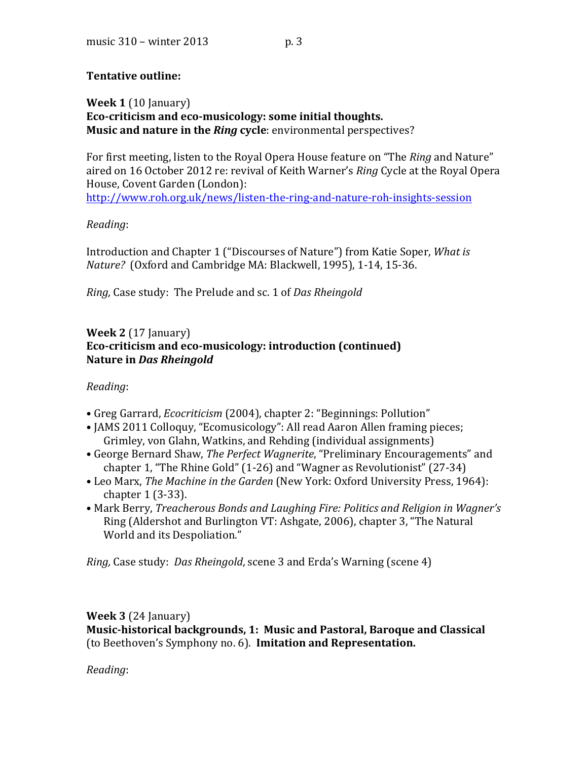# **Tentative outline:**

**Week 1** (10 January) Eco-criticism and eco-musicology: some initial thoughts. **Music and nature in the** *Ring* **cycle**: environmental perspectives?

For first meeting, listen to the Royal Opera House feature on "The *Ring* and Nature" aired on 16 October 2012 re: revival of Keith Warner's *Ring* Cycle at the Royal Opera House, Covent Garden (London): http://www.roh.org.uk/news/listen-the-ring-and-nature-roh-insights-session

# *Reading*:

Introduction and Chapter 1 ("Discourses of Nature") from Katie Soper, *What is Nature?* (Oxford and Cambridge MA: Blackwell, 1995), 1-14, 15-36.

*Ring, Case study: The Prelude and sc. 1 of Das Rheingold* 

# **Week 2** (17 January) Eco-criticism and eco-musicology: introduction (continued) **Nature in Das Rheingold**

# *Reading*:&&

- Greg Garrard, *Ecocriticism* (2004), chapter 2: "Beginnings: Pollution"
- JAMS 2011 Colloquy, "Ecomusicology": All read Aaron Allen framing pieces; Grimley, von Glahn, Watkins, and Rehding (individual assignments)
- George Bernard Shaw, The Perfect Wagnerite, "Preliminary Encouragements" and chapter 1, "The Rhine Gold"  $(1-26)$  and "Wagner as Revolutionist"  $(27-34)$
- Leo Marx, The Machine in the Garden (New York: Oxford University Press, 1964): chapter  $1(3-33)$ .
- Mark Berry, *Treacherous Bonds and Laughing Fire: Politics and Religion in Wagner's* Ring (Aldershot and Burlington VT: Ashgate, 2006), chapter 3, "The Natural World and its Despoliation."

*Ring, Case study: Das Rheingold, scene 3 and Erda's Warning (scene 4)* 

# **Week 3** (24 January)

**Music-historical backgrounds, 1: Music and Pastoral, Baroque and Classical** (to Beethoven's Symphony no. 6). **Imitation and Representation.** 

*Reading*: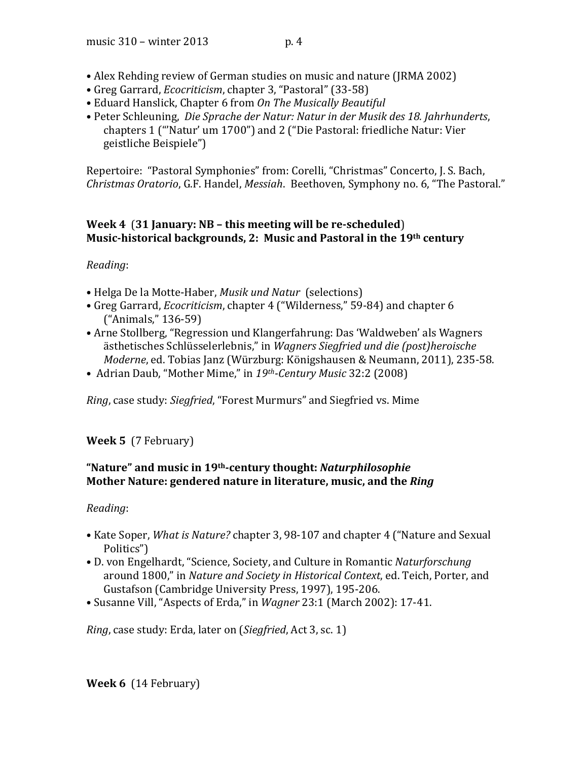- Alex Rehding review of German studies on music and nature (JRMA 2002)
- Greg Garrard, *Ecocriticism*, chapter 3, "Pastoral" (33-58)
- Eduard Hanslick, Chapter 6 from On The Musically Beautiful
- Peter Schleuning, *Die Sprache der Natur: Natur in der Musik des 18. Jahrhunderts,* chapters 1 ("'Natur' um 1700") and 2 ("Die Pastoral: friedliche Natur: Vier geistliche Beispiele")

Repertoire: "Pastoral Symphonies" from: Corelli, "Christmas" Concerto, J. S. Bach, *Christmas Oratorio*, G.F. Handel, *Messiah.* Beethoven, Symphony no. 6, "The Pastoral."

# **Week 4** (31 January: NB – this meeting will be re-scheduled) **Music-historical backgrounds, 2: Music and Pastoral in the 19th century**

# *Reading*:

- Helga De la Motte-Haber, *Musik und Natur* (selections)
- Greg Garrard, *Ecocriticism*, chapter 4 ("Wilderness," 59-84) and chapter 6 ("Animals," 136-59)
- Arne Stollberg, "Regression und Klangerfahrung: Das 'Waldweben' als Wagners ästhetisches Schlüsselerlebnis," in Wagners Siegfried und die (post)heroische *Moderne*, ed. Tobias Janz (Würzburg: Königshausen & Neumann, 2011), 235-58.
- Adrian Daub, "Mother Mime," in 19th-Century Music 32:2 (2008)

*Ring*, case study: *Siegfried*, "Forest Murmurs" and Siegfried vs. Mime

**Week 5** (7 February)

# **"Nature"\*and\*music\*in\*19th:century\*thought:\****Naturphilosophie***\*\* Mother Nature: gendered nature in literature, music, and the** *Ring*

#### *Reading*:

- Kate Soper, *What is Nature?* chapter 3, 98-107 and chapter 4 ("Nature and Sexual Politics")
- D. von Engelhardt, "Science, Society, and Culture in Romantic *Naturforschung* around 1800," in *Nature and Society in Historical Context*, ed. Teich, Porter, and Gustafson (Cambridge University Press, 1997), 195-206.
- Susanne Vill, "Aspects of Erda," in *Wagner* 23:1 (March 2002): 17-41.

*Ring*, case study: Erda, later on *(Siegfried, Act 3, sc. 1)* 

**Week 6** (14 February)